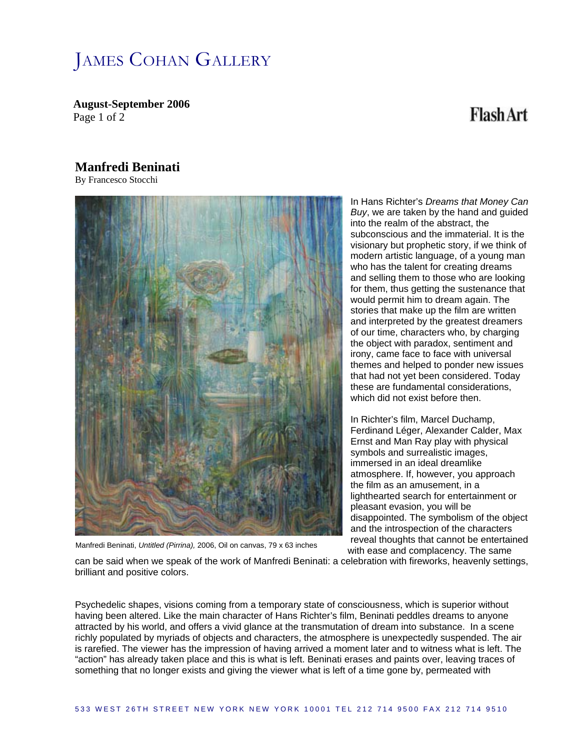## JAMES COHAN GALLERY

**August-September 2006**  Page 1 of 2

### **Flash Art**

#### **Manfredi Beninati**

By Francesco Stocchi



In Hans Richter's *Dreams that Money C an Buy*, we are taken by the hand and guide d into the realm of the abstract, the subconscious and the immaterial. It is the visionary but prophetic story, if we think of modern artistic language, of a young man who has the talent for creating dreams and selling them to those who are looking for them, thus getting the sustenance that would permit him to dream again. The stories that make up the film are written and interpreted by the greatest dreamers of our time, characters who, by charging the object with paradox, sentiment and irony, came face to face with universal themes and helped to ponder new issues that had not yet been considered. Today these are fundamental considerations, which did not exist before then.

reveal thoughts that cannot be entertained In Richter's film, Marcel Duchamp, Ferdinand Léger, Alexander Calder, Max Ernst and Man Ray play with physical symbols and surrealistic images, immersed in an ideal dreamlike atmosphere. If, however, you approach the film as an amusement, in a lighthearted search for entertainment or pleasant evasion, you will be disappointed. The symbolism of the object and the introspection of the characters with ease and complacency. The same

Manfredi Beninati, *Untitled (Pirrina),* 2006, Oil on canvas, 79 x 63 inches

can be said when we speak of the work of Manfredi Beninati: a celebration with fireworks, heavenly settings, brilliant and positive colors.

Psychedelic shapes, visions coming from a temporary state of consciousness, which is superior without having been altered. Like the main character of Hans Richter's film, Beninati peddles dreams to anyone attracted by his world, and offers a vivid glance at the transmutation of dream into substance. In a scene richly populated by myriads of objects and characters, the atmosphere is unexpectedly suspended. The air is rarefied. The viewer has the impression of having arrived a moment later and to witness what is left. The "action" has already taken place and this is what is left. Beninati erases and paints over, leaving traces of something that no longer exists and giving the viewer what is left of a time gone by, permeated with